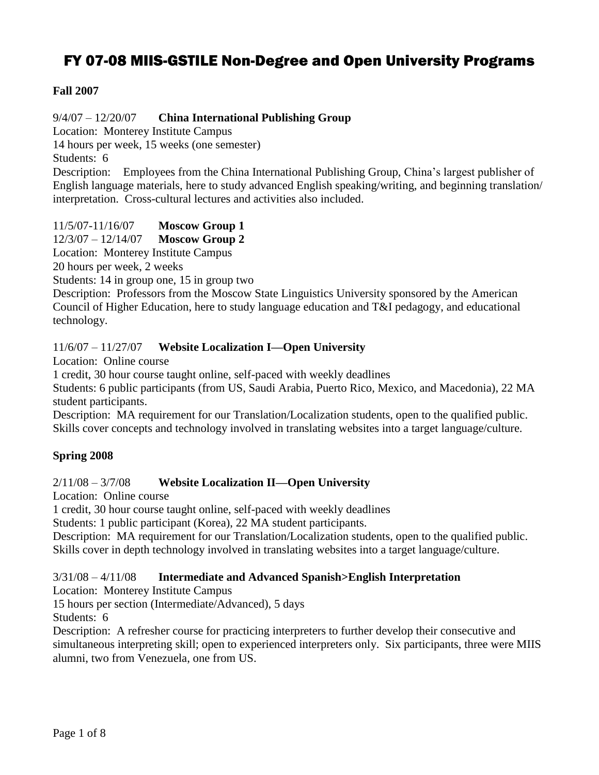# FY 07-08 MIIS-GSTILE Non-Degree and Open University Programs

## **Fall 2007**

9/4/07 – 12/20/07 **China International Publishing Group**

Location: Monterey Institute Campus

14 hours per week, 15 weeks (one semester)

Students: 6

Description: Employees from the China International Publishing Group, China's largest publisher of English language materials, here to study advanced English speaking/writing, and beginning translation/ interpretation. Cross-cultural lectures and activities also included.

11/5/07-11/16/07 **Moscow Group 1**

12/3/07 – 12/14/07 **Moscow Group 2**

Location: Monterey Institute Campus

20 hours per week, 2 weeks

Students: 14 in group one, 15 in group two

Description: Professors from the Moscow State Linguistics University sponsored by the American Council of Higher Education, here to study language education and T&I pedagogy, and educational technology.

## 11/6/07 – 11/27/07 **Website Localization I—Open University**

Location: Online course

1 credit, 30 hour course taught online, self-paced with weekly deadlines

Students: 6 public participants (from US, Saudi Arabia, Puerto Rico, Mexico, and Macedonia), 22 MA student participants.

Description: MA requirement for our Translation/Localization students, open to the qualified public. Skills cover concepts and technology involved in translating websites into a target language/culture.

## **Spring 2008**

## 2/11/08 – 3/7/08 **Website Localization II—Open University**

Location: Online course

1 credit, 30 hour course taught online, self-paced with weekly deadlines

Students: 1 public participant (Korea), 22 MA student participants.

Description: MA requirement for our Translation/Localization students, open to the qualified public. Skills cover in depth technology involved in translating websites into a target language/culture.

## 3/31/08 – 4/11/08 **Intermediate and Advanced Spanish>English Interpretation**

Location: Monterey Institute Campus

15 hours per section (Intermediate/Advanced), 5 days

Students: 6

Description: A refresher course for practicing interpreters to further develop their consecutive and simultaneous interpreting skill; open to experienced interpreters only. Six participants, three were MIIS alumni, two from Venezuela, one from US.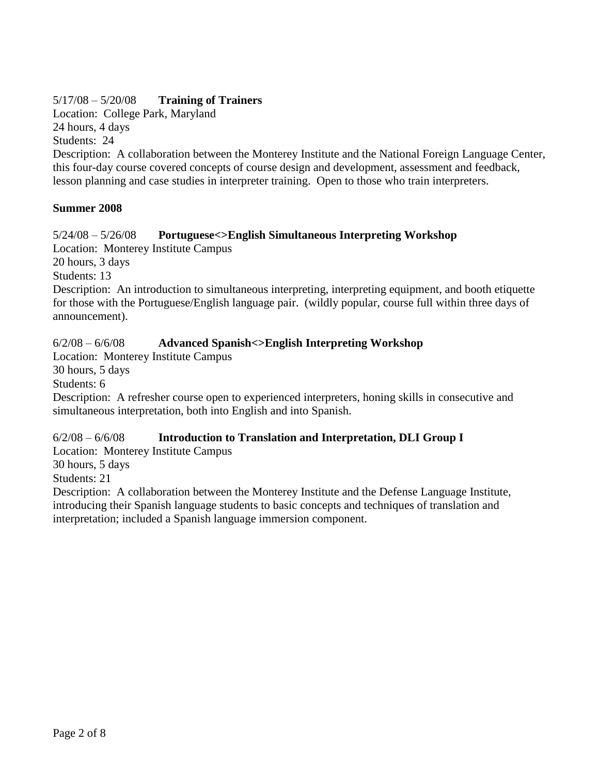# 5/17/08 – 5/20/08 **Training of Trainers**

Location: College Park, Maryland

24 hours, 4 days Students: 24

Description: A collaboration between the Monterey Institute and the National Foreign Language Center, this four-day course covered concepts of course design and development, assessment and feedback, lesson planning and case studies in interpreter training. Open to those who train interpreters.

# **Summer 2008**

## 5/24/08 – 5/26/08 **Portuguese<>English Simultaneous Interpreting Workshop**

Location: Monterey Institute Campus

20 hours, 3 days

Students: 13

Description: An introduction to simultaneous interpreting, interpreting equipment, and booth etiquette for those with the Portuguese/English language pair. (wildly popular, course full within three days of announcement).

## 6/2/08 – 6/6/08 **Advanced Spanish<>English Interpreting Workshop**

Location: Monterey Institute Campus

30 hours, 5 days

Students: 6

Description: A refresher course open to experienced interpreters, honing skills in consecutive and simultaneous interpretation, both into English and into Spanish.

# 6/2/08 – 6/6/08 **Introduction to Translation and Interpretation, DLI Group I**

Location: Monterey Institute Campus 30 hours, 5 days

Students: 21

Description: A collaboration between the Monterey Institute and the Defense Language Institute, introducing their Spanish language students to basic concepts and techniques of translation and interpretation; included a Spanish language immersion component.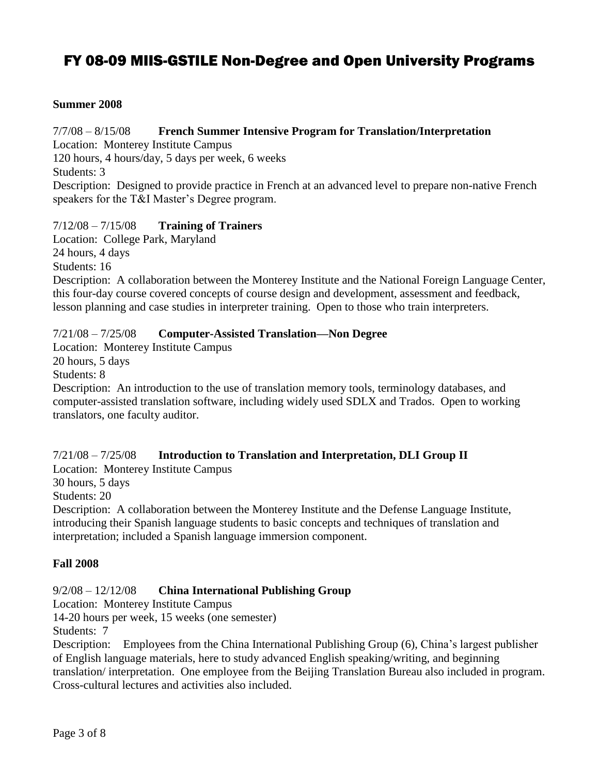# FY 08-09 MIIS-GSTILE Non-Degree and Open University Programs

#### **Summer 2008**

#### 7/7/08 – 8/15/08 **French Summer Intensive Program for Translation/Interpretation**

Location: Monterey Institute Campus

120 hours, 4 hours/day, 5 days per week, 6 weeks

Students: 3

Description: Designed to provide practice in French at an advanced level to prepare non-native French speakers for the T&I Master's Degree program.

#### 7/12/08 – 7/15/08 **Training of Trainers**

Location: College Park, Maryland 24 hours, 4 days

Students: 16

Description: A collaboration between the Monterey Institute and the National Foreign Language Center, this four-day course covered concepts of course design and development, assessment and feedback, lesson planning and case studies in interpreter training. Open to those who train interpreters.

#### 7/21/08 – 7/25/08 **Computer-Assisted Translation—Non Degree**

Location: Monterey Institute Campus

20 hours, 5 days

Students: 8

Description: An introduction to the use of translation memory tools, terminology databases, and computer-assisted translation software, including widely used SDLX and Trados. Open to working translators, one faculty auditor.

#### 7/21/08 – 7/25/08 **Introduction to Translation and Interpretation, DLI Group II**

Location: Monterey Institute Campus

30 hours, 5 days

Students: 20

Description: A collaboration between the Monterey Institute and the Defense Language Institute, introducing their Spanish language students to basic concepts and techniques of translation and interpretation; included a Spanish language immersion component.

#### **Fall 2008**

#### 9/2/08 – 12/12/08 **China International Publishing Group**

Location: Monterey Institute Campus

14-20 hours per week, 15 weeks (one semester)

Students: 7

Description: Employees from the China International Publishing Group (6), China's largest publisher of English language materials, here to study advanced English speaking/writing, and beginning translation/ interpretation. One employee from the Beijing Translation Bureau also included in program. Cross-cultural lectures and activities also included.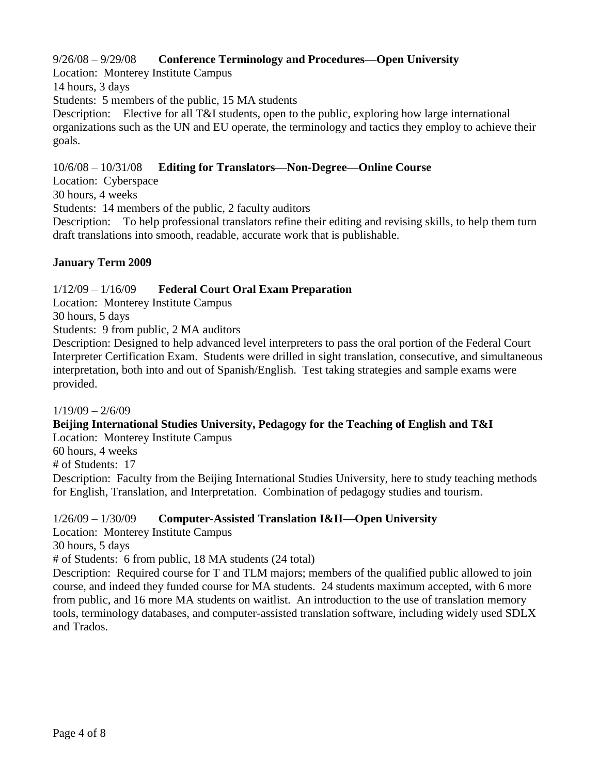## 9/26/08 – 9/29/08 **Conference Terminology and Procedures—Open University**

Location: Monterey Institute Campus

14 hours, 3 days

Students: 5 members of the public, 15 MA students

Description: Elective for all T&I students, open to the public, exploring how large international organizations such as the UN and EU operate, the terminology and tactics they employ to achieve their goals.

10/6/08 – 10/31/08 **Editing for Translators—Non-Degree—Online Course**

Location: Cyberspace

30 hours, 4 weeks

Students: 14 members of the public, 2 faculty auditors

Description: To help professional translators refine their editing and revising skills, to help them turn draft translations into smooth, readable, accurate work that is publishable.

## **January Term 2009**

## 1/12/09 – 1/16/09 **Federal Court Oral Exam Preparation**

Location: Monterey Institute Campus

30 hours, 5 days

Students: 9 from public, 2 MA auditors

Description: Designed to help advanced level interpreters to pass the oral portion of the Federal Court Interpreter Certification Exam. Students were drilled in sight translation, consecutive, and simultaneous interpretation, both into and out of Spanish/English. Test taking strategies and sample exams were provided.

 $1/19/09 - 2/6/09$ 

## **Beijing International Studies University, Pedagogy for the Teaching of English and T&I**

Location: Monterey Institute Campus

60 hours, 4 weeks

# of Students: 17

Description: Faculty from the Beijing International Studies University, here to study teaching methods for English, Translation, and Interpretation. Combination of pedagogy studies and tourism.

## 1/26/09 – 1/30/09 **Computer-Assisted Translation I&II—Open University**

Location: Monterey Institute Campus

30 hours, 5 days

# of Students: 6 from public, 18 MA students (24 total)

Description: Required course for T and TLM majors; members of the qualified public allowed to join course, and indeed they funded course for MA students. 24 students maximum accepted, with 6 more from public, and 16 more MA students on waitlist. An introduction to the use of translation memory tools, terminology databases, and computer-assisted translation software, including widely used SDLX and Trados.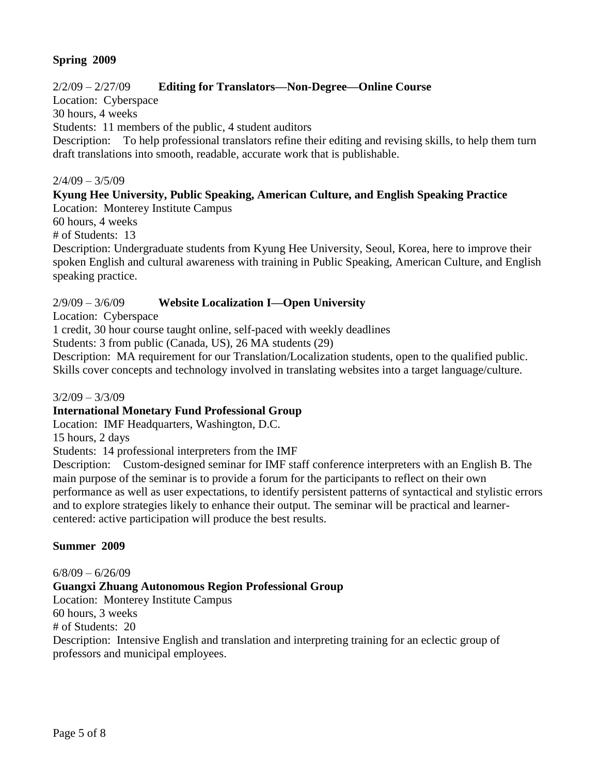## **Spring 2009**

## 2/2/09 – 2/27/09 **Editing for Translators—Non-Degree—Online Course**

Location: Cyberspace

30 hours, 4 weeks

Students: 11 members of the public, 4 student auditors

Description: To help professional translators refine their editing and revising skills, to help them turn draft translations into smooth, readable, accurate work that is publishable.

#### $2/4/09 - 3/5/09$

## **Kyung Hee University, Public Speaking, American Culture, and English Speaking Practice**

Location: Monterey Institute Campus

60 hours, 4 weeks

# of Students: 13

Description: Undergraduate students from Kyung Hee University, Seoul, Korea, here to improve their spoken English and cultural awareness with training in Public Speaking, American Culture, and English speaking practice.

## 2/9/09 – 3/6/09 **Website Localization I—Open University**

Location: Cyberspace

1 credit, 30 hour course taught online, self-paced with weekly deadlines

Students: 3 from public (Canada, US), 26 MA students (29)

Description: MA requirement for our Translation/Localization students, open to the qualified public. Skills cover concepts and technology involved in translating websites into a target language/culture.

#### $3/2/09 - 3/3/09$

#### **International Monetary Fund Professional Group**

Location: IMF Headquarters, Washington, D.C.

15 hours, 2 days

Students: 14 professional interpreters from the IMF

Description: Custom-designed seminar for IMF staff conference interpreters with an English B. The main purpose of the seminar is to provide a forum for the participants to reflect on their own performance as well as user expectations, to identify persistent patterns of syntactical and stylistic errors and to explore strategies likely to enhance their output. The seminar will be practical and learnercentered: active participation will produce the best results.

#### **Summer 2009**

 $6/8/09 - 6/26/09$ 

#### **Guangxi Zhuang Autonomous Region Professional Group**

Location: Monterey Institute Campus 60 hours, 3 weeks

# of Students: 20

Description: Intensive English and translation and interpreting training for an eclectic group of professors and municipal employees.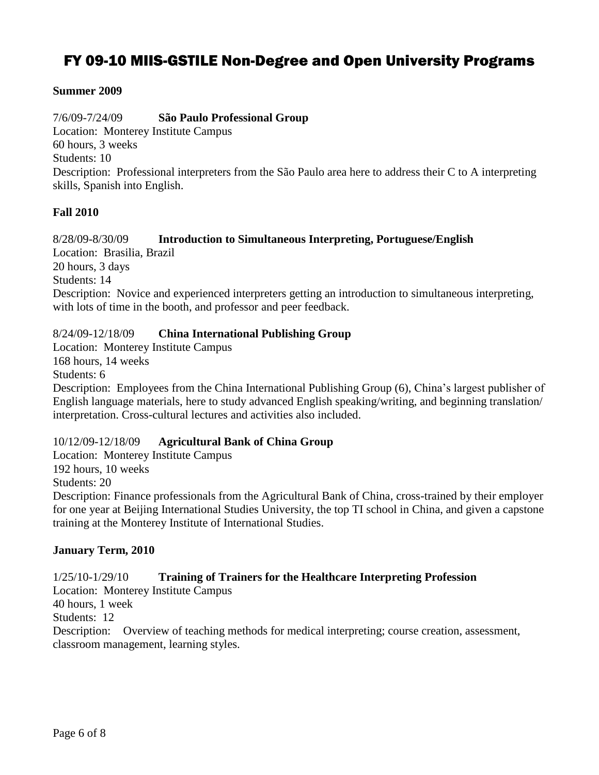# FY 09-10 MIIS-GSTILE Non-Degree and Open University Programs

## **Summer 2009**

7/6/09-7/24/09 **São Paulo Professional Group** Location: Monterey Institute Campus 60 hours, 3 weeks Students: 10 Description: Professional interpreters from the São Paulo area here to address their C to A interpreting skills, Spanish into English.

## **Fall 2010**

8/28/09-8/30/09 **Introduction to Simultaneous Interpreting, Portuguese/English** Location: Brasilia, Brazil 20 hours, 3 days Students: 14 Description: Novice and experienced interpreters getting an introduction to simultaneous interpreting, with lots of time in the booth, and professor and peer feedback.

## 8/24/09-12/18/09 **China International Publishing Group**

Location: Monterey Institute Campus 168 hours, 14 weeks Students: 6 Description: Employees from the China International Publishing Group (6), China's largest publisher of English language materials, here to study advanced English speaking/writing, and beginning translation/ interpretation. Cross-cultural lectures and activities also included.

## 10/12/09-12/18/09 **Agricultural Bank of China Group**

Location: Monterey Institute Campus 192 hours, 10 weeks Students: 20 Description: Finance professionals from the Agricultural Bank of China, cross-trained by their employer for one year at Beijing International Studies University, the top TI school in China, and given a capstone training at the Monterey Institute of International Studies.

#### **January Term, 2010**

## 1/25/10-1/29/10 **Training of Trainers for the Healthcare Interpreting Profession**

Location: Monterey Institute Campus

40 hours, 1 week

Students: 12

Description: Overview of teaching methods for medical interpreting; course creation, assessment, classroom management, learning styles.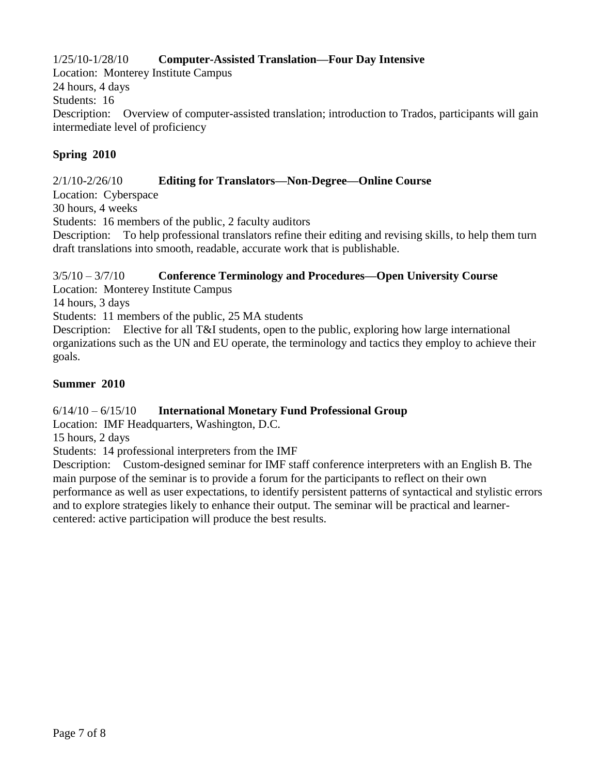## 1/25/10-1/28/10 **Computer-Assisted Translation—Four Day Intensive**

Location: Monterey Institute Campus 24 hours, 4 days Students: 16 Description: Overview of computer-assisted translation; introduction to Trados, participants will gain intermediate level of proficiency

## **Spring 2010**

## 2/1/10-2/26/10 **Editing for Translators—Non-Degree—Online Course**

Location: Cyberspace

30 hours, 4 weeks

Students: 16 members of the public, 2 faculty auditors

Description: To help professional translators refine their editing and revising skills, to help them turn draft translations into smooth, readable, accurate work that is publishable.

## 3/5/10 – 3/7/10 **Conference Terminology and Procedures—Open University Course**

Location: Monterey Institute Campus

14 hours, 3 days

Students: 11 members of the public, 25 MA students

Description: Elective for all T&I students, open to the public, exploring how large international organizations such as the UN and EU operate, the terminology and tactics they employ to achieve their goals.

## **Summer 2010**

## 6/14/10 – 6/15/10 **International Monetary Fund Professional Group**

Location: IMF Headquarters, Washington, D.C.

15 hours, 2 days

Students: 14 professional interpreters from the IMF

Description: Custom-designed seminar for IMF staff conference interpreters with an English B. The main purpose of the seminar is to provide a forum for the participants to reflect on their own performance as well as user expectations, to identify persistent patterns of syntactical and stylistic errors and to explore strategies likely to enhance their output. The seminar will be practical and learnercentered: active participation will produce the best results.